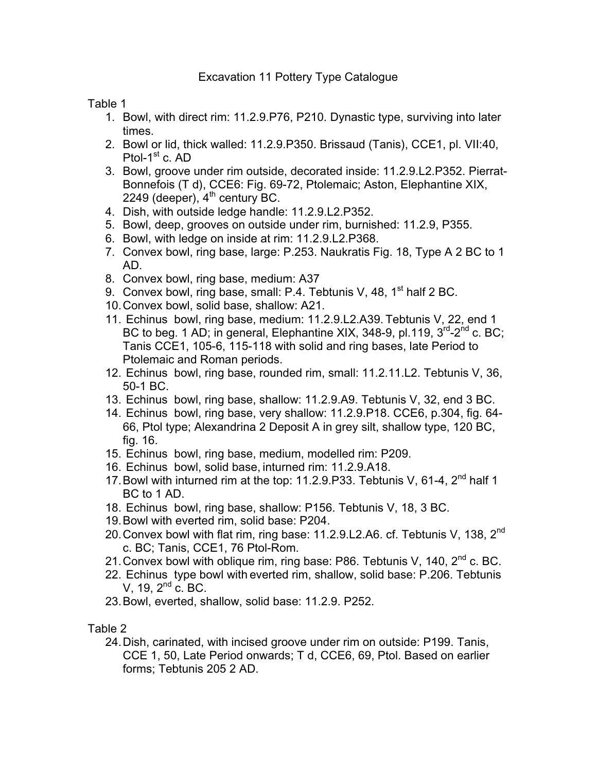Table 1

- 1. Bowl, with direct rim: 11.2.9.P76, P210. Dynastic type, surviving into later times.
- 2. Bowl or lid, thick walled: 11.2.9.P350. Brissaud (Tanis), CCE1, pl. VII:40, Ptol- $1<sup>st</sup>$  c. AD
- 3. Bowl, groove under rim outside, decorated inside: 11.2.9.L2.P352. Pierrat-Bonnefois (T d), CCE6: Fig. 69-72, Ptolemaic; Aston, Elephantine XIX, 2249 (deeper), 4<sup>th</sup> century BC.
- 4. Dish, with outside ledge handle: 11.2.9.L2.P352.
- 5. Bowl, deep, grooves on outside under rim, burnished: 11.2.9, P355.
- 6. Bowl, with ledge on inside at rim: 11.2.9.L2.P368.
- 7. Convex bowl, ring base, large: P.253. Naukratis Fig. 18, Type A 2 BC to 1 AD.
- 8. Convex bowl, ring base, medium: A37
- 9. Convex bowl, ring base, small: P.4. Tebtunis V, 48,  $1<sup>st</sup>$  half 2 BC.
- 10. Convex bowl, solid base, shallow: A21.
- 11. Echinus bowl, ring base, medium: 11.2.9.L2.A39. Tebtunis V, 22, end 1 BC to beg. 1 AD; in general, Elephantine XIX, 348-9, pl.119,  $3<sup>rd</sup>$ -2<sup>nd</sup> c. BC; Tanis CCE1, 105-6, 115-118 with solid and ring bases, late Period to Ptolemaic and Roman periods.
- 12. Echinus bowl, ring base, rounded rim, small: 11.2.11.L2. Tebtunis V, 36, 50-1 BC.
- 13. Echinus bowl, ring base, shallow: 11.2.9.A9. Tebtunis V, 32, end 3 BC.
- 14. Echinus bowl, ring base, very shallow: 11.2.9.P18. CCE6, p.304, fig. 64- 66, Ptol type; Alexandrina 2 Deposit A in grey silt, shallow type, 120 BC, fig. 16.
- 15. Echinus bowl, ring base, medium, modelled rim: P209.
- 16. Echinus bowl, solid base, inturned rim: 11.2.9.A18.
- 17. Bowl with inturned rim at the top: 11.2.9. P33. Tebtunis V, 61-4, 2<sup>nd</sup> half 1 BC to 1 AD.
- 18. Echinus bowl, ring base, shallow: P156. Tebtunis V, 18, 3 BC.
- 19. Bowl with everted rim, solid base: P204.
- 20. Convex bowl with flat rim, ring base: 11.2.9.L2.A6. cf. Tebtunis V, 138, 2<sup>nd</sup> c. BC; Tanis, CCE1, 76 Ptol-Rom.
- 21. Convex bowl with oblique rim, ring base: P86. Tebtunis V, 140, 2<sup>nd</sup> c. BC.
- 22. Echinus type bowl with everted rim, shallow, solid base: P.206. Tebtunis V, 19,  $2^{nd}$  c. BC.
- 23. Bowl, everted, shallow, solid base: 11.2.9. P252.

Table 2

24. Dish, carinated, with incised groove under rim on outside: P199. Tanis, CCE 1, 50, Late Period onwards; T d, CCE6, 69, Ptol. Based on earlier forms; Tebtunis 205 2 AD.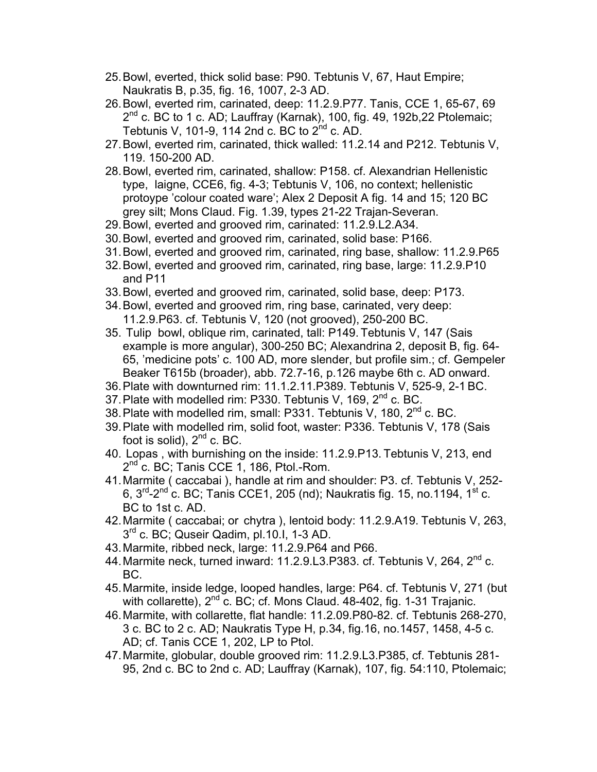- 25. Bowl, everted, thick solid base: P90. Tebtunis V, 67, Haut Empire; Naukratis B, p.35, fig. 16, 1007, 2-3 AD.
- 26. Bowl, everted rim, carinated, deep: 11.2.9.P77. Tanis, CCE 1, 65-67, 69 2<sup>nd</sup> c. BC to 1 c. AD; Lauffray (Karnak), 100, fig. 49, 192b, 22 Ptolemaic; Tebtunis V, 101-9, 114 2nd c. BC to  $2^{nd}$  c. AD.
- 27. Bowl, everted rim, carinated, thick walled: 11.2.14 and P212. Tebtunis V, 119. 150-200 AD.
- 28. Bowl, everted rim, carinated, shallow: P158. cf. Alexandrian Hellenistic type, laigne, CCE6, fig. 4-3; Tebtunis V, 106, no context; hellenistic protoype 'colour coated ware'; Alex 2 Deposit A fig. 14 and 15; 120 BC grey silt; Mons Claud. Fig. 1.39, types 21-22 Trajan-Severan.
- 29. Bowl, everted and grooved rim, carinated: 11.2.9.L2.A34.
- 30. Bowl, everted and grooved rim, carinated, solid base: P166.
- 31. Bowl, everted and grooved rim, carinated, ring base, shallow: 11.2.9.P65
- 32. Bowl, everted and grooved rim, carinated, ring base, large: 11.2.9.P10 and P11
- 33. Bowl, everted and grooved rim, carinated, solid base, deep: P173.
- 34. Bowl, everted and grooved rim, ring base, carinated, very deep: 11.2.9.P63. cf. Tebtunis V, 120 (not grooved), 250-200 BC.
- 35. Tulip bowl, oblique rim, carinated, tall: P149. Tebtunis V, 147 (Sais example is more angular), 300-250 BC; Alexandrina 2, deposit B, fig. 64- 65, 'medicine pots' c. 100 AD, more slender, but profile sim.; cf. Gempeler Beaker T615b (broader), abb. 72.7-16, p.126 maybe 6th c. AD onward.
- 36. Plate with downturned rim: 11.1.2.11.P389. Tebtunis V, 525-9, 2-1 BC.
- 37. Plate with modelled rim: P330. Tebtunis V, 169, 2<sup>nd</sup> c. BC.
- 38. Plate with modelled rim, small: P331. Tebtunis V, 180, 2<sup>nd</sup> c. BC.
- 39. Plate with modelled rim, solid foot, waster: P336. Tebtunis V, 178 (Sais foot is solid),  $2<sup>nd</sup>$  c. BC.
- 40. Lopas , with burnishing on the inside: 11.2.9.P13. Tebtunis V, 213, end  $2^{nd}$  c. BC; Tanis CCE 1, 186, Ptol.-Rom.
- 41. Marmite ( caccabai ), handle at rim and shoulder: P3. cf. Tebtunis V, 252- 6,  $3^{rd}$ - $2^{nd}$  c. BC; Tanis CCE1, 205 (nd); Naukratis fig. 15, no.1194, 1<sup>st</sup> c. BC to 1st c. AD.
- 42. Marmite ( caccabai; or chytra ), lentoid body: 11.2.9.A19. Tebtunis V, 263,  $3<sup>rd</sup>$  c. BC; Quseir Qadim, pl.10.I, 1-3 AD.
- 43. Marmite, ribbed neck, large: 11.2.9.P64 and P66.
- 44. Marmite neck, turned inward: 11.2.9.L3.P383. cf. Tebtunis V. 264. 2<sup>nd</sup> c. BC.
- 45. Marmite, inside ledge, looped handles, large: P64. cf. Tebtunis V, 271 (but with collarette),  $2^{nd}$  c. BC; cf. Mons Claud. 48-402, fig. 1-31 Trajanic.
- 46. Marmite, with collarette, flat handle: 11.2.09.P80-82. cf. Tebtunis 268-270, 3 c. BC to 2 c. AD; Naukratis Type H, p.34, fig.16, no.1457, 1458, 4-5 c. AD; cf. Tanis CCE 1, 202, LP to Ptol.
- 47. Marmite, globular, double grooved rim: 11.2.9.L3.P385, cf. Tebtunis 281- 95, 2nd c. BC to 2nd c. AD; Lauffray (Karnak), 107, fig. 54:110, Ptolemaic;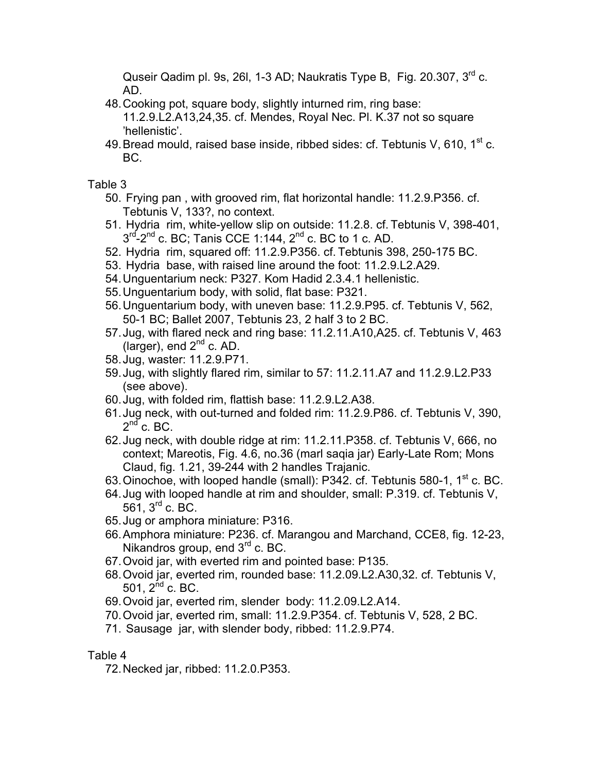Quseir Qadim pl. 9s, 26l, 1-3 AD; Naukratis Type B, Fig. 20.307, 3<sup>rd</sup> c. AD.

- 48. Cooking pot, square body, slightly inturned rim, ring base: 11.2.9.L2.A13,24,35. cf. Mendes, Royal Nec. Pl. K.37 not so square 'hellenistic'.
- 49. Bread mould, raised base inside, ribbed sides: cf. Tebtunis V, 610,  $1<sup>st</sup>$  c. BC.

Table 3

- 50. Frying pan , with grooved rim, flat horizontal handle: 11.2.9.P356. cf. Tebtunis V, 133?, no context.
- 51. Hydria rim, white-yellow slip on outside: 11.2.8. cf. Tebtunis V, 398-401,  $3<sup>rd</sup>$ -2<sup>nd</sup> c. BC; Tanis CCE 1:144, 2<sup>nd</sup> c. BC to 1 c. AD.
- 52. Hydria rim, squared off: 11.2.9.P356. cf. Tebtunis 398, 250-175 BC.
- 53. Hydria base, with raised line around the foot: 11.2.9.L2.A29.
- 54. Unguentarium neck: P327. Kom Hadid 2.3.4.1 hellenistic.
- 55. Unguentarium body, with solid, flat base: P321.
- 56. Unguentarium body, with uneven base: 11.2.9.P95. cf. Tebtunis V, 562, 50-1 BC; Ballet 2007, Tebtunis 23, 2 half 3 to 2 BC.
- 57. Jug, with flared neck and ring base: 11.2.11.A10,A25. cf. Tebtunis V, 463 (larger), end  $2^{nd}$  c. AD.
- 58. Jug, waster: 11.2.9.P71.
- 59. Jug, with slightly flared rim, similar to 57: 11.2.11.A7 and 11.2.9.L2.P33 (see above).
- 60. Jug, with folded rim, flattish base: 11.2.9.L2.A38.
- 61. Jug neck, with out-turned and folded rim: 11.2.9.P86. cf. Tebtunis V, 390,  $2^{nd}$  c. BC.
- 62. Jug neck, with double ridge at rim: 11.2.11.P358. cf. Tebtunis V, 666, no context; Mareotis, Fig. 4.6, no.36 (marl saqia jar) Early-Late Rom; Mons Claud, fig. 1.21, 39-244 with 2 handles Trajanic.
- 63. Oinochoe, with looped handle (small): P342. cf. Tebtunis 580-1, 1<sup>st</sup> c. BC.
- 64. Jug with looped handle at rim and shoulder, small: P.319. cf. Tebtunis V, 561, 3rd c. BC.
- 65. Jug or amphora miniature: P316.
- 66. Amphora miniature: P236. cf. Marangou and Marchand, CCE8, fig. 12-23, Nikandros group, end 3<sup>rd</sup> c. BC.
- 67. Ovoid jar, with everted rim and pointed base: P135.
- 68. Ovoid jar, everted rim, rounded base: 11.2.09.L2.A30,32. cf. Tebtunis V, 501,  $2^{nd}$  c. BC.
- 69. Ovoid jar, everted rim, slender body: 11.2.09.L2.A14.
- 70. Ovoid jar, everted rim, small: 11.2.9.P354. cf. Tebtunis V, 528, 2 BC.
- 71. Sausage jar, with slender body, ribbed: 11.2.9.P74.

## Table 4

72. Necked jar, ribbed: 11.2.0.P353.